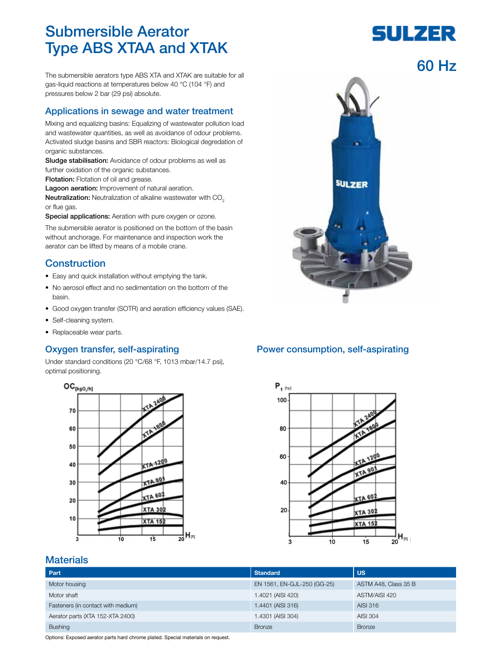# Submersible Aerator Type ABS XTAA and XTAK

The submersible aerators type ABS XTA and XTAK are suitable for all gas-liquid reactions at temperatures below 40 °C (104 °F) and pressures below 2 bar (29 psi) absolute.

### Applications in sewage and water treatment

Mixing and equalizing basins: Equalizing of wastewater pollution load and wastewater quantities, as well as avoidance of odour problems. Activated sludge basins and SBR reactors: Biological degredation of organic substances.

Sludge stabilisation: Avoidance of odour problems as well as further oxidation of the organic substances.

**Flotation:** Flotation of oil and grease.

Lagoon aeration: Improvement of natural aeration.

Neutralization: Neutralization of alkaline wastewater with CO<sub>2</sub> or flue gas.

Special applications: Aeration with pure oxygen or ozone.

The submersible aerator is positioned on the bottom of the basin without anchorage. For maintenance and inspection work the aerator can be lifted by means of a mobile crane.

### **Construction**

- Easy and quick installation without emptying the tank.
- No aerosol effect and no sedimentation on the bottom of the basin.
- Good oxygen transfer (SOTR) and aeration efficiency values (SAE).
- Self-cleaning system.
- Replaceable wear parts.

### Oxygen transfer, self-aspirating

Under standard conditions (20 °C/68 °F, 1013 mbar/14.7 psi), optimal positioning.





### Power consumption, self-aspirating



### **Materials**

| Part                               | <b>Standard</b>             | <b>US</b>            |  |  |
|------------------------------------|-----------------------------|----------------------|--|--|
| Motor housing                      | EN 1561, EN-GJL-250 (GG-25) | ASTM A48, Class 35 B |  |  |
| Motor shaft                        | 1.4021 (AISI 420)           | ASTM/AISI 420        |  |  |
| Fasteners (in contact with medium) | 1.4401 (AISI 316)           | AISI 316             |  |  |
| Aerator parts (XTA 152-XTA 2400)   | 1.4301 (AISI 304)           | AISI 304             |  |  |
| <b>Bushing</b>                     | <b>Bronze</b>               | <b>Bronze</b>        |  |  |

Options: Exposed aerator parts hard chrome plated. Special materials on request.

# SULZER

## 60 Hz